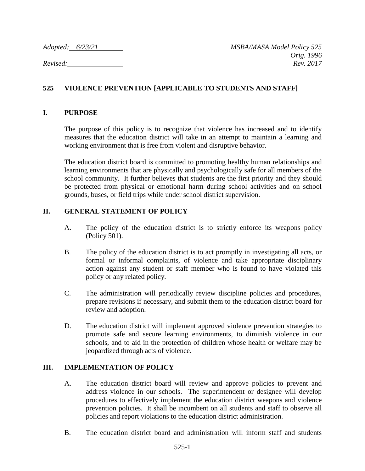*Adopted: 6/23/21 MSBA/MASA Model Policy 525 Orig. 1996 Revised: Rev. 2017*

# **525 VIOLENCE PREVENTION [APPLICABLE TO STUDENTS AND STAFF]**

#### **I. PURPOSE**

The purpose of this policy is to recognize that violence has increased and to identify measures that the education district will take in an attempt to maintain a learning and working environment that is free from violent and disruptive behavior.

The education district board is committed to promoting healthy human relationships and learning environments that are physically and psychologically safe for all members of the school community. It further believes that students are the first priority and they should be protected from physical or emotional harm during school activities and on school grounds, buses, or field trips while under school district supervision.

### **II. GENERAL STATEMENT OF POLICY**

- A. The policy of the education district is to strictly enforce its weapons policy (Policy 501).
- B. The policy of the education district is to act promptly in investigating all acts, or formal or informal complaints, of violence and take appropriate disciplinary action against any student or staff member who is found to have violated this policy or any related policy.
- C. The administration will periodically review discipline policies and procedures, prepare revisions if necessary, and submit them to the education district board for review and adoption.
- D. The education district will implement approved violence prevention strategies to promote safe and secure learning environments, to diminish violence in our schools, and to aid in the protection of children whose health or welfare may be jeopardized through acts of violence.

### **III. IMPLEMENTATION OF POLICY**

- A. The education district board will review and approve policies to prevent and address violence in our schools. The superintendent or designee will develop procedures to effectively implement the education district weapons and violence prevention policies. It shall be incumbent on all students and staff to observe all policies and report violations to the education district administration.
- B. The education district board and administration will inform staff and students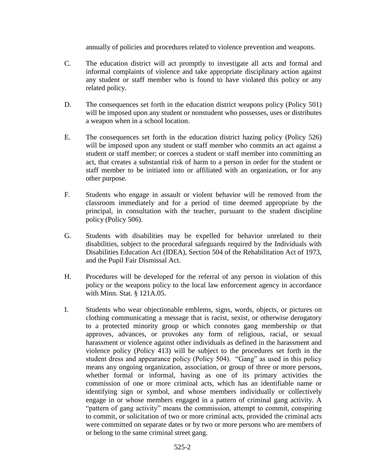annually of policies and procedures related to violence prevention and weapons.

- C. The education district will act promptly to investigate all acts and formal and informal complaints of violence and take appropriate disciplinary action against any student or staff member who is found to have violated this policy or any related policy.
- D. The consequences set forth in the education district weapons policy (Policy 501) will be imposed upon any student or nonstudent who possesses, uses or distributes a weapon when in a school location.
- E. The consequences set forth in the education district hazing policy (Policy 526) will be imposed upon any student or staff member who commits an act against a student or staff member; or coerces a student or staff member into committing an act, that creates a substantial risk of harm to a person in order for the student or staff member to be initiated into or affiliated with an organization, or for any other purpose.
- F. Students who engage in assault or violent behavior will be removed from the classroom immediately and for a period of time deemed appropriate by the principal, in consultation with the teacher, pursuant to the student discipline policy (Policy 506).
- G. Students with disabilities may be expelled for behavior unrelated to their disabilities, subject to the procedural safeguards required by the Individuals with Disabilities Education Act (IDEA), Section 504 of the Rehabilitation Act of 1973, and the Pupil Fair Dismissal Act.
- H. Procedures will be developed for the referral of any person in violation of this policy or the weapons policy to the local law enforcement agency in accordance with Minn. Stat. § 121A.05.
- I. Students who wear objectionable emblems, signs, words, objects, or pictures on clothing communicating a message that is racist, sexist, or otherwise derogatory to a protected minority group or which connotes gang membership or that approves, advances, or provokes any form of religious, racial, or sexual harassment or violence against other individuals as defined in the harassment and violence policy (Policy 413) will be subject to the procedures set forth in the student dress and appearance policy (Policy 504). "Gang" as used in this policy means any ongoing organization, association, or group of three or more persons, whether formal or informal, having as one of its primary activities the commission of one or more criminal acts, which has an identifiable name or identifying sign or symbol, and whose members individually or collectively engage in or whose members engaged in a pattern of criminal gang activity. A "pattern of gang activity" means the commission, attempt to commit, conspiring to commit, or solicitation of two or more criminal acts, provided the criminal acts were committed on separate dates or by two or more persons who are members of or belong to the same criminal street gang.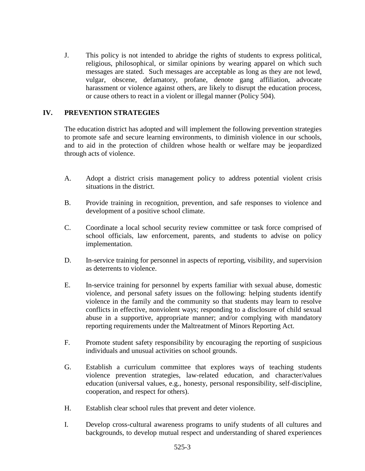J. This policy is not intended to abridge the rights of students to express political, religious, philosophical, or similar opinions by wearing apparel on which such messages are stated. Such messages are acceptable as long as they are not lewd, vulgar, obscene, defamatory, profane, denote gang affiliation, advocate harassment or violence against others, are likely to disrupt the education process, or cause others to react in a violent or illegal manner (Policy 504).

## **IV. PREVENTION STRATEGIES**

The education district has adopted and will implement the following prevention strategies to promote safe and secure learning environments, to diminish violence in our schools, and to aid in the protection of children whose health or welfare may be jeopardized through acts of violence.

- A. Adopt a district crisis management policy to address potential violent crisis situations in the district.
- B. Provide training in recognition, prevention, and safe responses to violence and development of a positive school climate.
- C. Coordinate a local school security review committee or task force comprised of school officials, law enforcement, parents, and students to advise on policy implementation.
- D. In-service training for personnel in aspects of reporting, visibility, and supervision as deterrents to violence.
- E. In-service training for personnel by experts familiar with sexual abuse, domestic violence, and personal safety issues on the following: helping students identify violence in the family and the community so that students may learn to resolve conflicts in effective, nonviolent ways; responding to a disclosure of child sexual abuse in a supportive, appropriate manner; and/or complying with mandatory reporting requirements under the Maltreatment of Minors Reporting Act.
- F. Promote student safety responsibility by encouraging the reporting of suspicious individuals and unusual activities on school grounds.
- G. Establish a curriculum committee that explores ways of teaching students violence prevention strategies, law-related education, and character/values education (universal values, e.g., honesty, personal responsibility, self-discipline, cooperation, and respect for others).
- H. Establish clear school rules that prevent and deter violence.
- I. Develop cross-cultural awareness programs to unify students of all cultures and backgrounds, to develop mutual respect and understanding of shared experiences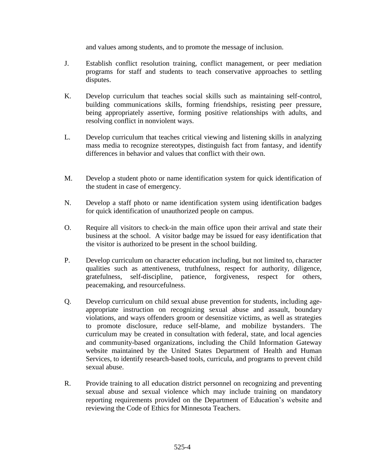and values among students, and to promote the message of inclusion.

- J. Establish conflict resolution training, conflict management, or peer mediation programs for staff and students to teach conservative approaches to settling disputes.
- K. Develop curriculum that teaches social skills such as maintaining self-control, building communications skills, forming friendships, resisting peer pressure, being appropriately assertive, forming positive relationships with adults, and resolving conflict in nonviolent ways.
- L. Develop curriculum that teaches critical viewing and listening skills in analyzing mass media to recognize stereotypes, distinguish fact from fantasy, and identify differences in behavior and values that conflict with their own.
- M. Develop a student photo or name identification system for quick identification of the student in case of emergency.
- N. Develop a staff photo or name identification system using identification badges for quick identification of unauthorized people on campus.
- O. Require all visitors to check-in the main office upon their arrival and state their business at the school. A visitor badge may be issued for easy identification that the visitor is authorized to be present in the school building.
- P. Develop curriculum on character education including, but not limited to, character qualities such as attentiveness, truthfulness, respect for authority, diligence, gratefulness, self-discipline, patience, forgiveness, respect for others, peacemaking, and resourcefulness.
- Q. Develop curriculum on child sexual abuse prevention for students, including ageappropriate instruction on recognizing sexual abuse and assault, boundary violations, and ways offenders groom or desensitize victims, as well as strategies to promote disclosure, reduce self-blame, and mobilize bystanders. The curriculum may be created in consultation with federal, state, and local agencies and community-based organizations, including the Child Information Gateway website maintained by the United States Department of Health and Human Services, to identify research-based tools, curricula, and programs to prevent child sexual abuse.
- R. Provide training to all education district personnel on recognizing and preventing sexual abuse and sexual violence which may include training on mandatory reporting requirements provided on the Department of Education's website and reviewing the Code of Ethics for Minnesota Teachers.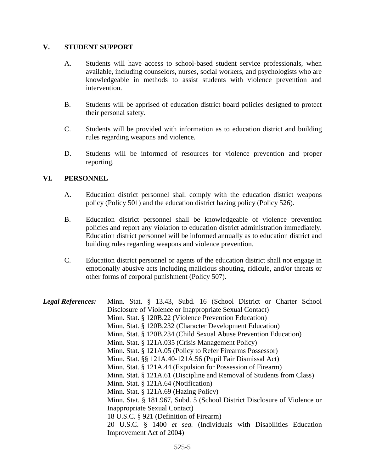#### **V. STUDENT SUPPORT**

- A. Students will have access to school-based student service professionals, when available, including counselors, nurses, social workers, and psychologists who are knowledgeable in methods to assist students with violence prevention and intervention.
- B. Students will be apprised of education district board policies designed to protect their personal safety.
- C. Students will be provided with information as to education district and building rules regarding weapons and violence.
- D. Students will be informed of resources for violence prevention and proper reporting.

### **VI. PERSONNEL**

- A. Education district personnel shall comply with the education district weapons policy (Policy 501) and the education district hazing policy (Policy 526).
- B. Education district personnel shall be knowledgeable of violence prevention policies and report any violation to education district administration immediately. Education district personnel will be informed annually as to education district and building rules regarding weapons and violence prevention.
- C. Education district personnel or agents of the education district shall not engage in emotionally abusive acts including malicious shouting, ridicule, and/or threats or other forms of corporal punishment (Policy 507).

| <b>Legal References:</b> | Minn. Stat. § 13.43, Subd. 16 (School District or Charter School          |
|--------------------------|---------------------------------------------------------------------------|
|                          | Disclosure of Violence or Inappropriate Sexual Contact)                   |
|                          | Minn. Stat. § 120B.22 (Violence Prevention Education)                     |
|                          | Minn. Stat. § 120B.232 (Character Development Education)                  |
|                          | Minn. Stat. § 120B.234 (Child Sexual Abuse Prevention Education)          |
|                          | Minn. Stat. § 121A.035 (Crisis Management Policy)                         |
|                          | Minn. Stat. § 121A.05 (Policy to Refer Firearms Possessor)                |
|                          | Minn. Stat. §§ 121A.40-121A.56 (Pupil Fair Dismissal Act)                 |
|                          | Minn. Stat. § 121A.44 (Expulsion for Possession of Firearm)               |
|                          | Minn. Stat. § 121A.61 (Discipline and Removal of Students from Class)     |
|                          | Minn. Stat. § 121A.64 (Notification)                                      |
|                          | Minn. Stat. § 121A.69 (Hazing Policy)                                     |
|                          | Minn. Stat. § 181.967, Subd. 5 (School District Disclosure of Violence or |
|                          | Inappropriate Sexual Contact)                                             |
|                          | 18 U.S.C. § 921 (Definition of Firearm)                                   |
|                          | 20 U.S.C. § 1400 et seq. (Individuals with Disabilities Education         |
|                          | Improvement Act of 2004)                                                  |
|                          |                                                                           |